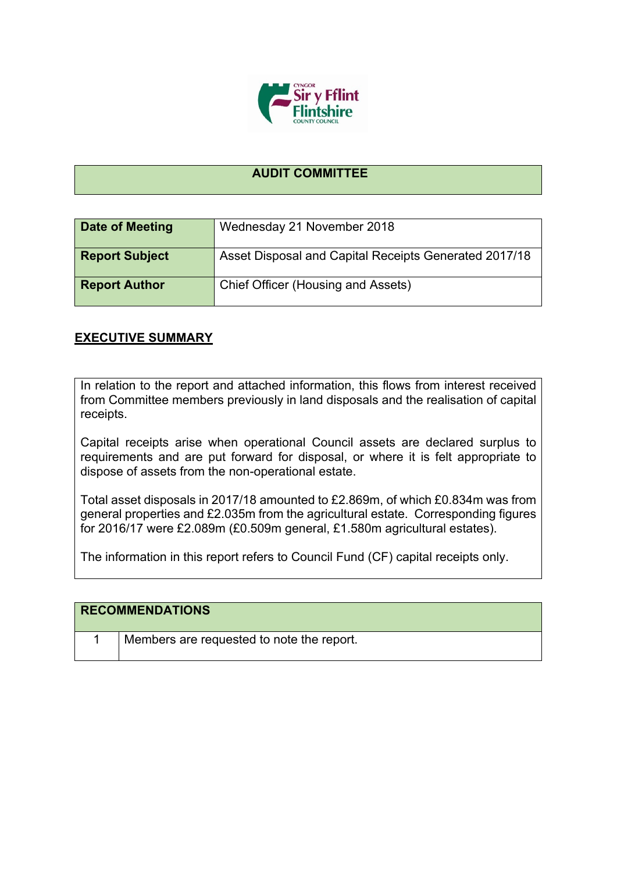

## **AUDIT COMMITTEE**

| Date of Meeting       | Wednesday 21 November 2018                            |
|-----------------------|-------------------------------------------------------|
| <b>Report Subject</b> | Asset Disposal and Capital Receipts Generated 2017/18 |
| <b>Report Author</b>  | Chief Officer (Housing and Assets)                    |

## **EXECUTIVE SUMMARY**

In relation to the report and attached information, this flows from interest received from Committee members previously in land disposals and the realisation of capital receipts.

Capital receipts arise when operational Council assets are declared surplus to requirements and are put forward for disposal, or where it is felt appropriate to dispose of assets from the non-operational estate.

Total asset disposals in 2017/18 amounted to £2.869m, of which £0.834m was from general properties and £2.035m from the agricultural estate. Corresponding figures for 2016/17 were £2.089m (£0.509m general, £1.580m agricultural estates).

The information in this report refers to Council Fund (CF) capital receipts only.

| <b>RECOMMENDATIONS</b>                    |
|-------------------------------------------|
| Members are requested to note the report. |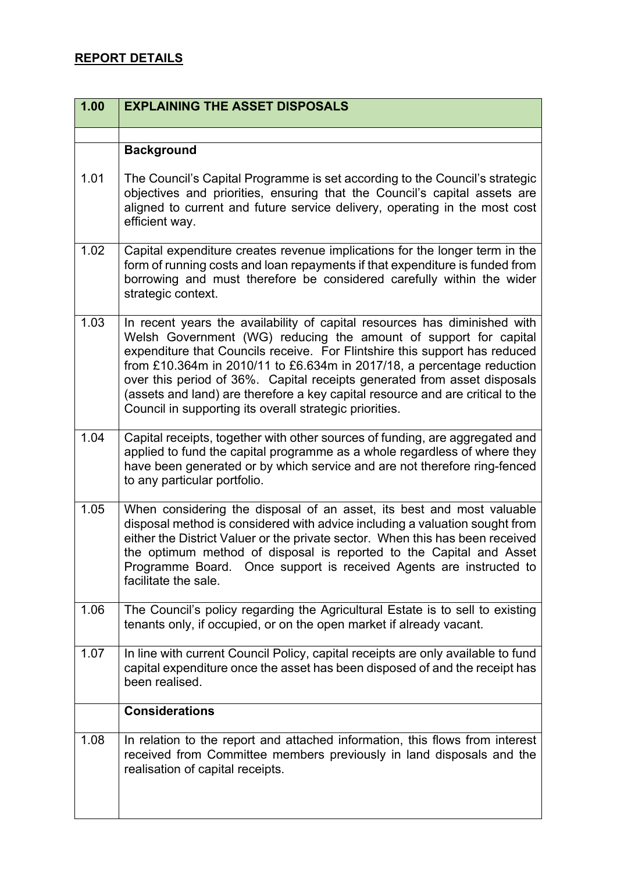## **REPORT DETAILS**

| 1.00 | <b>EXPLAINING THE ASSET DISPOSALS</b>                                                                                                                                                                                                                                                                                                                                                                                                                                                                                          |
|------|--------------------------------------------------------------------------------------------------------------------------------------------------------------------------------------------------------------------------------------------------------------------------------------------------------------------------------------------------------------------------------------------------------------------------------------------------------------------------------------------------------------------------------|
|      |                                                                                                                                                                                                                                                                                                                                                                                                                                                                                                                                |
|      | <b>Background</b>                                                                                                                                                                                                                                                                                                                                                                                                                                                                                                              |
| 1.01 | The Council's Capital Programme is set according to the Council's strategic<br>objectives and priorities, ensuring that the Council's capital assets are<br>aligned to current and future service delivery, operating in the most cost<br>efficient way.                                                                                                                                                                                                                                                                       |
| 1.02 | Capital expenditure creates revenue implications for the longer term in the<br>form of running costs and loan repayments if that expenditure is funded from<br>borrowing and must therefore be considered carefully within the wider<br>strategic context.                                                                                                                                                                                                                                                                     |
| 1.03 | In recent years the availability of capital resources has diminished with<br>Welsh Government (WG) reducing the amount of support for capital<br>expenditure that Councils receive. For Flintshire this support has reduced<br>from £10.364m in 2010/11 to £6.634m in 2017/18, a percentage reduction<br>over this period of 36%. Capital receipts generated from asset disposals<br>(assets and land) are therefore a key capital resource and are critical to the<br>Council in supporting its overall strategic priorities. |
| 1.04 | Capital receipts, together with other sources of funding, are aggregated and<br>applied to fund the capital programme as a whole regardless of where they<br>have been generated or by which service and are not therefore ring-fenced<br>to any particular portfolio.                                                                                                                                                                                                                                                         |
| 1.05 | When considering the disposal of an asset, its best and most valuable<br>disposal method is considered with advice including a valuation sought from<br>either the District Valuer or the private sector. When this has been received<br>the optimum method of disposal is reported to the Capital and Asset<br>Programme Board.<br>Once support is received Agents are instructed to<br>facilitate the sale.                                                                                                                  |
| 1.06 | The Council's policy regarding the Agricultural Estate is to sell to existing<br>tenants only, if occupied, or on the open market if already vacant.                                                                                                                                                                                                                                                                                                                                                                           |
| 1.07 | In line with current Council Policy, capital receipts are only available to fund<br>capital expenditure once the asset has been disposed of and the receipt has<br>been realised.                                                                                                                                                                                                                                                                                                                                              |
|      | <b>Considerations</b>                                                                                                                                                                                                                                                                                                                                                                                                                                                                                                          |
| 1.08 | In relation to the report and attached information, this flows from interest<br>received from Committee members previously in land disposals and the<br>realisation of capital receipts.                                                                                                                                                                                                                                                                                                                                       |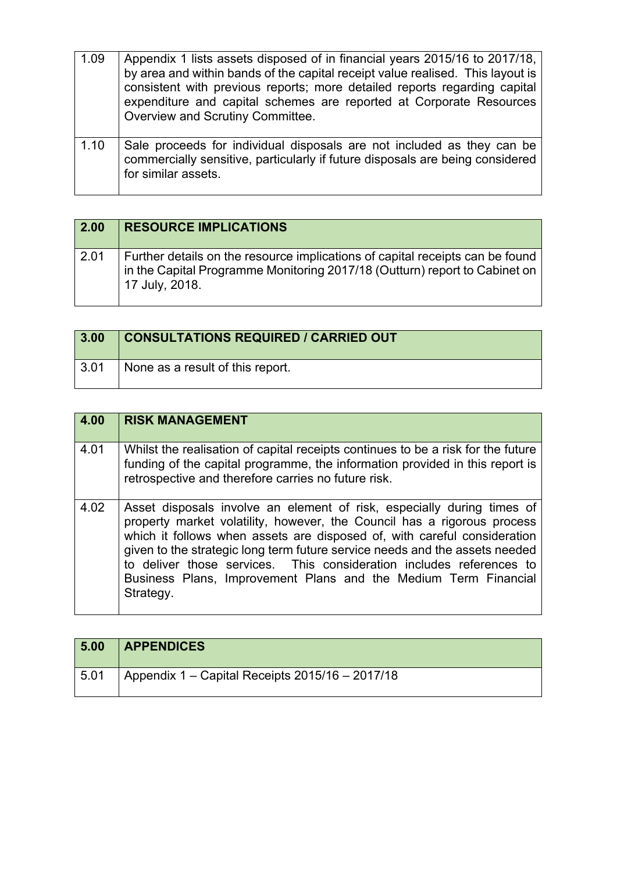| 1.09 | Appendix 1 lists assets disposed of in financial years 2015/16 to 2017/18,<br>by area and within bands of the capital receipt value realised. This layout is<br>consistent with previous reports; more detailed reports regarding capital<br>expenditure and capital schemes are reported at Corporate Resources<br>Overview and Scrutiny Committee. |
|------|------------------------------------------------------------------------------------------------------------------------------------------------------------------------------------------------------------------------------------------------------------------------------------------------------------------------------------------------------|
| 1.10 | Sale proceeds for individual disposals are not included as they can be<br>commercially sensitive, particularly if future disposals are being considered<br>for similar assets.                                                                                                                                                                       |

| 2.00 | <b>RESOURCE IMPLICATIONS</b>                                                                                                                                                  |
|------|-------------------------------------------------------------------------------------------------------------------------------------------------------------------------------|
| 2.01 | Further details on the resource implications of capital receipts can be found<br>in the Capital Programme Monitoring 2017/18 (Outturn) report to Cabinet on<br>17 July, 2018. |

| 3.00         | <b>CONSULTATIONS REQUIRED / CARRIED OUT</b> |
|--------------|---------------------------------------------|
| $\vert 3.01$ | None as a result of this report.            |

| $\overline{4.00}$ | <b>RISK MANAGEMENT</b>                                                                                                                                                                                                                                                                                                                                                                                                                                               |
|-------------------|----------------------------------------------------------------------------------------------------------------------------------------------------------------------------------------------------------------------------------------------------------------------------------------------------------------------------------------------------------------------------------------------------------------------------------------------------------------------|
| 4.01              | Whilst the realisation of capital receipts continues to be a risk for the future<br>funding of the capital programme, the information provided in this report is<br>retrospective and therefore carries no future risk.                                                                                                                                                                                                                                              |
| 4.02              | Asset disposals involve an element of risk, especially during times of<br>property market volatility, however, the Council has a rigorous process<br>which it follows when assets are disposed of, with careful consideration<br>given to the strategic long term future service needs and the assets needed<br>to deliver those services. This consideration includes references to<br>Business Plans, Improvement Plans and the Medium Term Financial<br>Strategy. |

| 5.00 | <b>APPENDICES</b>                               |
|------|-------------------------------------------------|
| 5.01 | Appendix 1 – Capital Receipts 2015/16 – 2017/18 |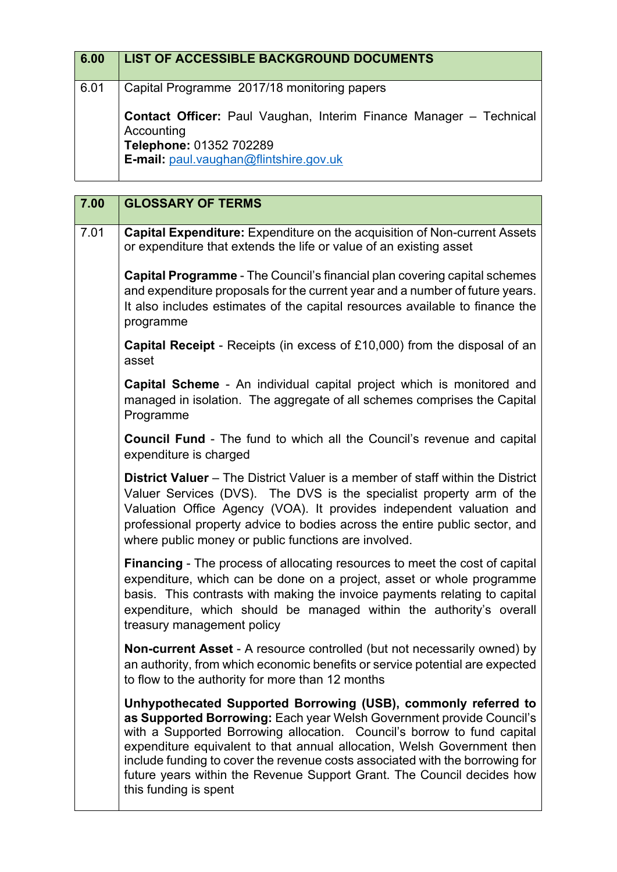| 6.00 | <b>LIST OF ACCESSIBLE BACKGROUND DOCUMENTS</b>                                                                                                        |
|------|-------------------------------------------------------------------------------------------------------------------------------------------------------|
| 6.01 | Capital Programme 2017/18 monitoring papers                                                                                                           |
|      | Contact Officer: Paul Vaughan, Interim Finance Manager - Technical<br>Accounting<br>Telephone: 01352 702289<br>E-mail: paul.vaughan@flintshire.gov.uk |

| 7.00 | <b>GLOSSARY OF TERMS</b>                                                                                                                                                                                                                                                                                                                                                                                                                                                        |
|------|---------------------------------------------------------------------------------------------------------------------------------------------------------------------------------------------------------------------------------------------------------------------------------------------------------------------------------------------------------------------------------------------------------------------------------------------------------------------------------|
| 7.01 | Capital Expenditure: Expenditure on the acquisition of Non-current Assets<br>or expenditure that extends the life or value of an existing asset                                                                                                                                                                                                                                                                                                                                 |
|      | <b>Capital Programme</b> - The Council's financial plan covering capital schemes<br>and expenditure proposals for the current year and a number of future years.<br>It also includes estimates of the capital resources available to finance the<br>programme                                                                                                                                                                                                                   |
|      | <b>Capital Receipt</b> - Receipts (in excess of £10,000) from the disposal of an<br>asset                                                                                                                                                                                                                                                                                                                                                                                       |
|      | Capital Scheme - An individual capital project which is monitored and<br>managed in isolation. The aggregate of all schemes comprises the Capital<br>Programme                                                                                                                                                                                                                                                                                                                  |
|      | <b>Council Fund</b> - The fund to which all the Council's revenue and capital<br>expenditure is charged                                                                                                                                                                                                                                                                                                                                                                         |
|      | <b>District Valuer</b> – The District Valuer is a member of staff within the District<br>Valuer Services (DVS). The DVS is the specialist property arm of the<br>Valuation Office Agency (VOA). It provides independent valuation and<br>professional property advice to bodies across the entire public sector, and<br>where public money or public functions are involved.                                                                                                    |
|      | <b>Financing</b> - The process of allocating resources to meet the cost of capital<br>expenditure, which can be done on a project, asset or whole programme<br>basis. This contrasts with making the invoice payments relating to capital<br>expenditure, which should be managed within the authority's overall<br>treasury management policy                                                                                                                                  |
|      | Non-current Asset - A resource controlled (but not necessarily owned) by<br>an authority, from which economic benefits or service potential are expected<br>to flow to the authority for more than 12 months                                                                                                                                                                                                                                                                    |
|      | Unhypothecated Supported Borrowing (USB), commonly referred to<br>as Supported Borrowing: Each year Welsh Government provide Council's<br>with a Supported Borrowing allocation. Council's borrow to fund capital<br>expenditure equivalent to that annual allocation, Welsh Government then<br>include funding to cover the revenue costs associated with the borrowing for<br>future years within the Revenue Support Grant. The Council decides how<br>this funding is spent |